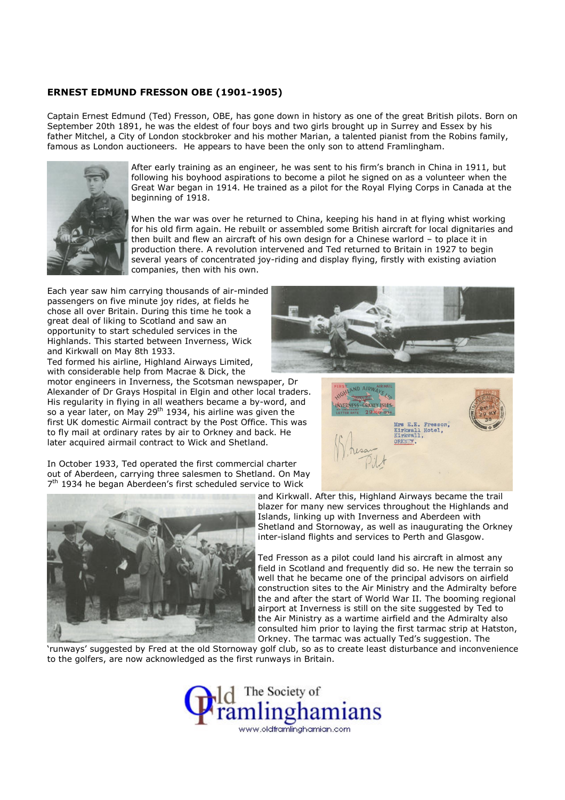## ERNEST EDMUND FRESSON OBE (1901-1905)

Captain Ernest Edmund (Ted) Fresson, OBE, has gone down in history as one of the great British pilots. Born on September 20th 1891, he was the eldest of four boys and two girls brought up in Surrey and Essex by his father Mitchel, a City of London stockbroker and his mother Marian, a talented pianist from the Robins family, famous as London auctioneers. He appears to have been the only son to attend Framlingham.



After early training as an engineer, he was sent to his firm's branch in China in 1911, but following his boyhood aspirations to become a pilot he signed on as a volunteer when the Great War began in 1914. He trained as a pilot for the Royal Flying Corps in Canada at the beginning of 1918.

When the war was over he returned to China, keeping his hand in at flying whist working for his old firm again. He rebuilt or assembled some British aircraft for local dignitaries and then built and flew an aircraft of his own design for a Chinese warlord – to place it in production there. A revolution intervened and Ted returned to Britain in 1927 to begin several years of concentrated joy-riding and display flying, firstly with existing aviation companies, then with his own.

Each year saw him carrying thousands of air-minded passengers on five minute joy rides, at fields he chose all over Britain. During this time he took a great deal of liking to Scotland and saw an opportunity to start scheduled services in the Highlands. This started between Inverness, Wick and Kirkwall on May 8th 1933.

Ted formed his airline, Highland Airways Limited, with considerable help from Macrae & Dick, the

motor engineers in Inverness, the Scotsman newspaper, Dr Alexander of Dr Grays Hospital in Elgin and other local traders. His regularity in flying in all weathers became a by-word, and so a year later, on May 29<sup>th</sup> 1934, his airline was given the first UK domestic Airmail contract by the Post Office. This was to fly mail at ordinary rates by air to Orkney and back. He later acquired airmail contract to Wick and Shetland.





In October 1933, Ted operated the first commercial charter out of Aberdeen, carrying three salesmen to Shetland. On May 7<sup>th</sup> 1934 he began Aberdeen's first scheduled service to Wick



and Kirkwall. After this, Highland Airways became the trail blazer for many new services throughout the Highlands and Islands, linking up with Inverness and Aberdeen with Shetland and Stornoway, as well as inaugurating the Orkney inter-island flights and services to Perth and Glasgow.

Ted Fresson as a pilot could land his aircraft in almost any field in Scotland and frequently did so. He new the terrain so well that he became one of the principal advisors on airfield construction sites to the Air Ministry and the Admiralty before the and after the start of World War II. The booming regional airport at Inverness is still on the site suggested by Ted to the Air Ministry as a wartime airfield and the Admiralty also consulted him prior to laying the first tarmac strip at Hatston, Orkney. The tarmac was actually Ted's suggestion. The

'runways' suggested by Fred at the old Stornoway golf club, so as to create least disturbance and inconvenience to the golfers, are now acknowledged as the first runways in Britain.

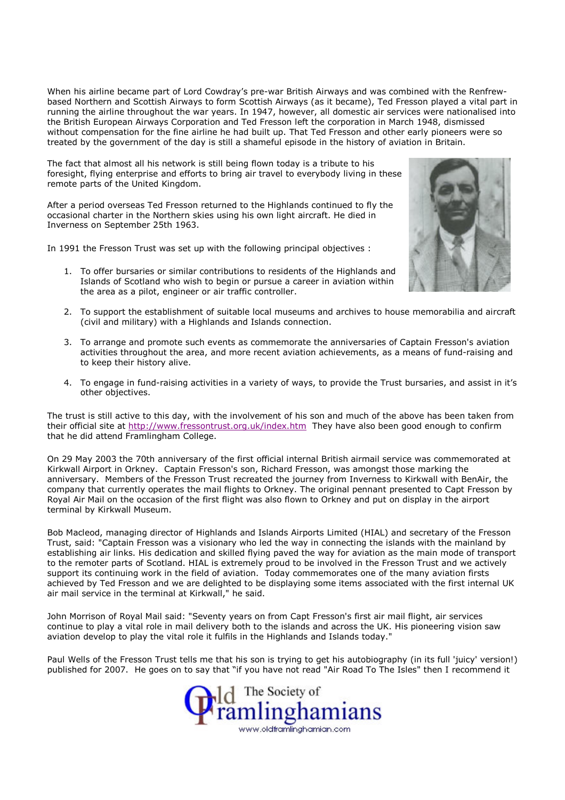When his airline became part of Lord Cowdray's pre-war British Airways and was combined with the Renfrewbased Northern and Scottish Airways to form Scottish Airways (as it became), Ted Fresson played a vital part in running the airline throughout the war years. In 1947, however, all domestic air services were nationalised into the British European Airways Corporation and Ted Fresson left the corporation in March 1948, dismissed without compensation for the fine airline he had built up. That Ted Fresson and other early pioneers were so treated by the government of the day is still a shameful episode in the history of aviation in Britain.

The fact that almost all his network is still being flown today is a tribute to his foresight, flying enterprise and efforts to bring air travel to everybody living in these remote parts of the United Kingdom.

After a period overseas Ted Fresson returned to the Highlands continued to fly the occasional charter in the Northern skies using his own light aircraft. He died in Inverness on September 25th 1963.

In 1991 the Fresson Trust was set up with the following principal objectives :

1. To offer bursaries or similar contributions to residents of the Highlands and Islands of Scotland who wish to begin or pursue a career in aviation within the area as a pilot, engineer or air traffic controller.



- 2. To support the establishment of suitable local museums and archives to house memorabilia and aircraft (civil and military) with a Highlands and Islands connection.
- 3. To arrange and promote such events as commemorate the anniversaries of Captain Fresson's aviation activities throughout the area, and more recent aviation achievements, as a means of fund-raising and to keep their history alive.
- 4. To engage in fund-raising activities in a variety of ways, to provide the Trust bursaries, and assist in it's other objectives.

The trust is still active to this day, with the involvement of his son and much of the above has been taken from their official site at http://www.fressontrust.org.uk/index.htm They have also been good enough to confirm that he did attend Framlingham College.

On 29 May 2003 the 70th anniversary of the first official internal British airmail service was commemorated at Kirkwall Airport in Orkney. Captain Fresson's son, Richard Fresson, was amongst those marking the anniversary. Members of the Fresson Trust recreated the journey from Inverness to Kirkwall with BenAir, the company that currently operates the mail flights to Orkney. The original pennant presented to Capt Fresson by Royal Air Mail on the occasion of the first flight was also flown to Orkney and put on display in the airport terminal by Kirkwall Museum.

Bob Macleod, managing director of Highlands and Islands Airports Limited (HIAL) and secretary of the Fresson Trust, said: "Captain Fresson was a visionary who led the way in connecting the islands with the mainland by establishing air links. His dedication and skilled flying paved the way for aviation as the main mode of transport to the remoter parts of Scotland. HIAL is extremely proud to be involved in the Fresson Trust and we actively support its continuing work in the field of aviation. Today commemorates one of the many aviation firsts achieved by Ted Fresson and we are delighted to be displaying some items associated with the first internal UK air mail service in the terminal at Kirkwall," he said.

John Morrison of Royal Mail said: "Seventy years on from Capt Fresson's first air mail flight, air services continue to play a vital role in mail delivery both to the islands and across the UK. His pioneering vision saw aviation develop to play the vital role it fulfils in the Highlands and Islands today."

Paul Wells of the Fresson Trust tells me that his son is trying to get his autobiography (in its full 'juicy' version!) published for 2007. He goes on to say that "if you have not read "Air Road To The Isles" then I recommend it